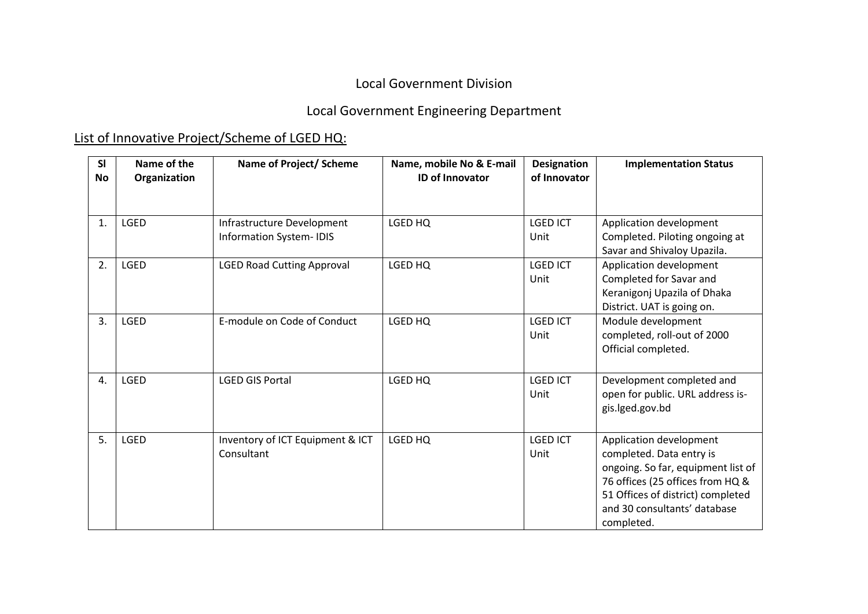### Local Government Division

# Local Government Engineering Department

# List of Innovative Project/Scheme of LGED HQ:

| SI<br>No | Name of the<br>Organization | Name of Project/ Scheme                                      | Name, mobile No & E-mail<br><b>ID of Innovator</b> | <b>Designation</b><br>of Innovator | <b>Implementation Status</b>                                                                                                                                                                                     |
|----------|-----------------------------|--------------------------------------------------------------|----------------------------------------------------|------------------------------------|------------------------------------------------------------------------------------------------------------------------------------------------------------------------------------------------------------------|
| 1.       | <b>LGED</b>                 | Infrastructure Development<br><b>Information System-IDIS</b> | LGED HQ                                            | <b>LGED ICT</b><br>Unit            | Application development<br>Completed. Piloting ongoing at<br>Savar and Shivaloy Upazila.                                                                                                                         |
| 2.       | <b>LGED</b>                 | <b>LGED Road Cutting Approval</b>                            | LGED HQ                                            | <b>LGED ICT</b><br>Unit            | Application development<br>Completed for Savar and<br>Keranigonj Upazila of Dhaka<br>District. UAT is going on.                                                                                                  |
| 3.       | <b>LGED</b>                 | E-module on Code of Conduct                                  | LGED HQ                                            | <b>LGED ICT</b><br>Unit            | Module development<br>completed, roll-out of 2000<br>Official completed.                                                                                                                                         |
| 4.       | <b>LGED</b>                 | <b>LGED GIS Portal</b>                                       | LGED HQ                                            | <b>LGED ICT</b><br>Unit            | Development completed and<br>open for public. URL address is-<br>gis.lged.gov.bd                                                                                                                                 |
| 5.       | <b>LGED</b>                 | Inventory of ICT Equipment & ICT<br>Consultant               | LGED HQ                                            | <b>LGED ICT</b><br>Unit            | Application development<br>completed. Data entry is<br>ongoing. So far, equipment list of<br>76 offices (25 offices from HQ &<br>51 Offices of district) completed<br>and 30 consultants' database<br>completed. |